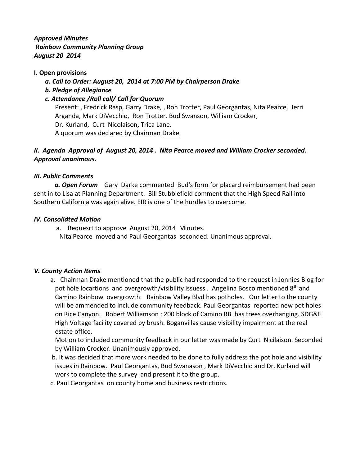*Approved Minutes Rainbow Community Planning Group August 20 2014*

### **I. Open provisions**

- *a. Call to Order: August 20, 2014 at 7:00 PM by Chairperson Drake*
- *b. Pledge of Allegiance*

## *c. Attendance /Roll call/ Call for Quorum*

Present: , Fredrick Rasp, Garry Drake, , Ron Trotter, Paul Georgantas, Nita Pearce, Jerri Arganda, Mark DiVecchio, Ron Trotter. Bud Swanson, William Crocker, Dr. Kurland, Curt Nicolaison, Trica Lane. A quorum was declared by Chairman Drake

# *II. Agenda Approval of August 20, 2014 . Nita Pearce moved and William Crocker seconded. Approval unanimous.*

#### *III. Public Comments*

 *a. Open Forum* Gary Darke commented Bud's form for placard reimbursement had been sent in to Lisa at Planning Department. Bill Stubblefield comment that the High Speed Rail into Southern California was again alive. EIR is one of the hurdles to overcome.

#### *IV. Consolidted Motion*

 a. Requesrt to approve August 20, 2014 Minutes. Nita Pearce moved and Paul Georgantas seconded. Unanimous approval.

#### *V. County Action Items*

 a. Chairman Drake mentioned that the public had responded to the request in Jonnies Blog for pot hole locartions and overgrowth/visibility issuess. Angelina Bosco mentioned 8<sup>th</sup> and Camino Rainbow overgrowth. Rainbow Valley Blvd has potholes. Our letter to the county will be ammended to include community feedback. Paul Georgantas reported new pot holes on Rice Canyon. Robert Williamson : 200 block of Camino RB has trees overhanging. SDG&E High Voltage facility covered by brush. Boganvillas cause visibility impairment at the real estate office.

 Motion to included community feedback in our letter was made by Curt Nicilaison. Seconded by William Crocker. Unanimously approved.

- b. It was decided that more work needed to be done to fully address the pot hole and visibility issues in Rainbow. Paul Georgantas, Bud Swanason , Mark DiVecchio and Dr. Kurland will work to complete the survey and present it to the group.
- c. Paul Georgantas on county home and business restrictions.